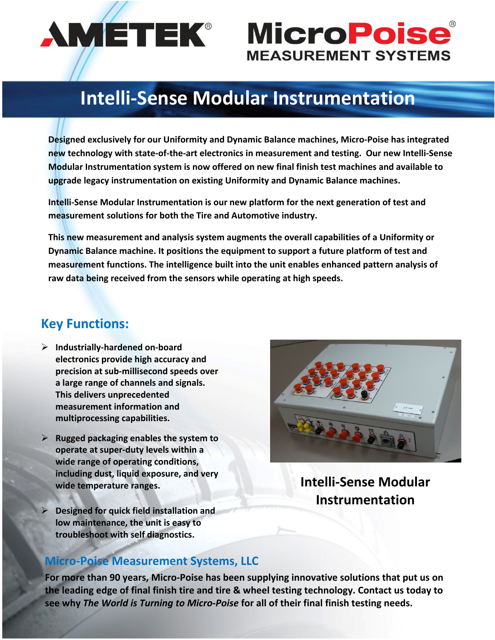

# **AMETEK® MicroPoise® MEASUREMENT SYSTEMS**

## **Intelli‐Sense Modular Instrumentation**

**Designed exclusively for our Uniformity and Dynamic Balance machines, Micro‐Poise has integrated** new technology with state-of-the-art electronics in measurement and testing. Our new Intelli-Sense **Modular Instrumentation system is now offered on new final finish test machines and available to upgrade legacy instrumentation on existing Uniformity and Dynamic Balance machines.** 

**Intelli‐Sense Modular Instrumentation is our new platform for the next generation of test and measurement solutions for both the Tire and Automotive industry.**

**This new measurement and analysis system augments the overall capabilities of a Uniformity or Dynamic Balance machine. It positions the equipment to support a future platform of test and measurement functions. The intelligence built into the unit enables enhanced pattern analysis of raw data being received from the sensors while operating at high speeds.** 

#### **Key Functions:**

- **Industrially‐hardened on‐board electronics provide high accuracy and precision at sub‐millisecond speeds over a large range of channels and signals. This delivers unprecedented measurement information and multiprocessing capabilities.**
- **Rugged packaging enables the system to operate at super‐duty levels within a wide range of operating conditions, including dust, liquid exposure, and very wide temperature ranges.**
- **Designed for quick field installation and low maintenance, the unit is easy to troubleshoot with self diagnostics.**



**Intelli‐Sense Modular Instrumentation**

#### **Micro‐Poise Measurement Systems, LLC**

**For more than 90 years, Micro‐Poise has been supplying innovative solutions that put us on the leading edge of final finish tire and tire & wheel testing technology. Contact us today to see why** *The World is Turning to Micro‐Poise* **for all of their final finish testing needs.**